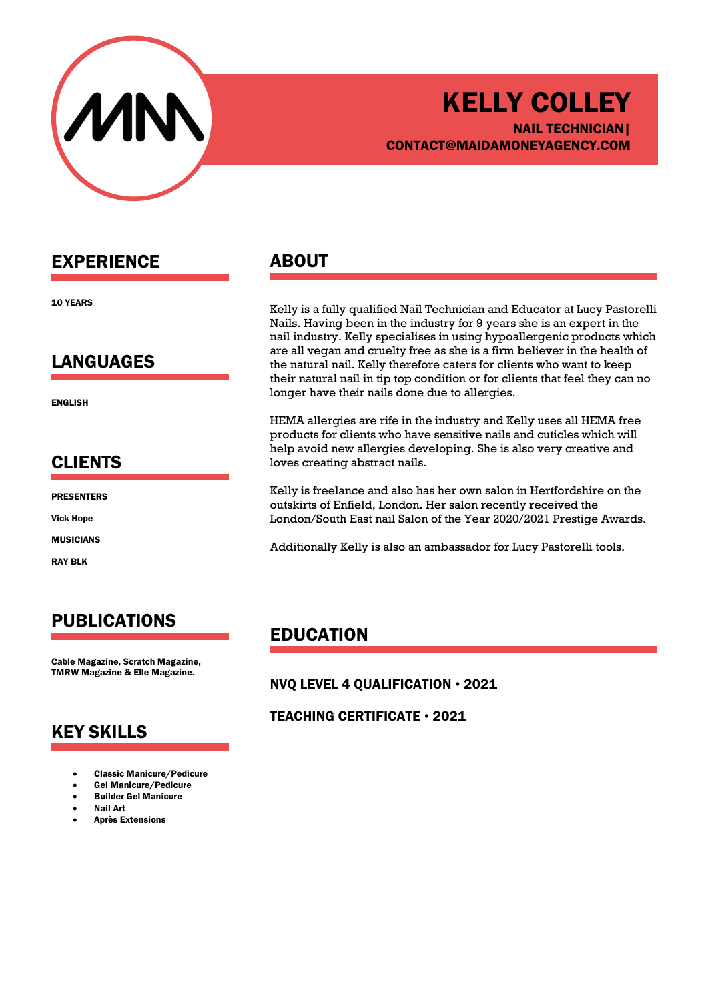

## KELLY COLLEY NAIL TECHNICIAN| CONTACT@MAIDAMONEYAGENCY.COM

### EXPERIENCE

10 YEARS

#### LANGUAGES

ENGLISH

#### CLIENTS

PRESENTERS

Vick Hope

MUSICIANS

RAY BLK

# PUBLICATIONS

Cable Magazine, Scratch Magazine, TMRW Magazine & Elle Magazine.

## KEY SKILLS

- Classic Manicure/Pedicure
- Gel Manicure/Pedicure
- Builder Gel Manicure
- Nail Art
- Après Extensions

#### ABOUT

Kelly is a fully qualified Nail Technician and Educator at Lucy Pastorelli Nails. Having been in the industry for 9 years she is an expert in the nail industry. Kelly specialises in using hypoallergenic products which are all vegan and cruelty free as she is a firm believer in the health of the natural nail. Kelly therefore caters for clients who want to keep their natural nail in tip top condition or for clients that feel they can no longer have their nails done due to allergies.

HEMA allergies are rife in the industry and Kelly uses all HEMA free products for clients who have sensitive nails and cuticles which will help avoid new allergies developing. She is also very creative and loves creating abstract nails.

Kelly is freelance and also has her own salon in Hertfordshire on the outskirts of Enfield, London. Her salon recently received the London/South East nail Salon of the Year 2020/2021 Prestige Awards.

Additionally Kelly is also an ambassador for Lucy Pastorelli tools.

## EDUCATION

NVQ LEVEL 4 QUALIFICATION • 2021

#### TEACHING CERTIFICATE • 2021